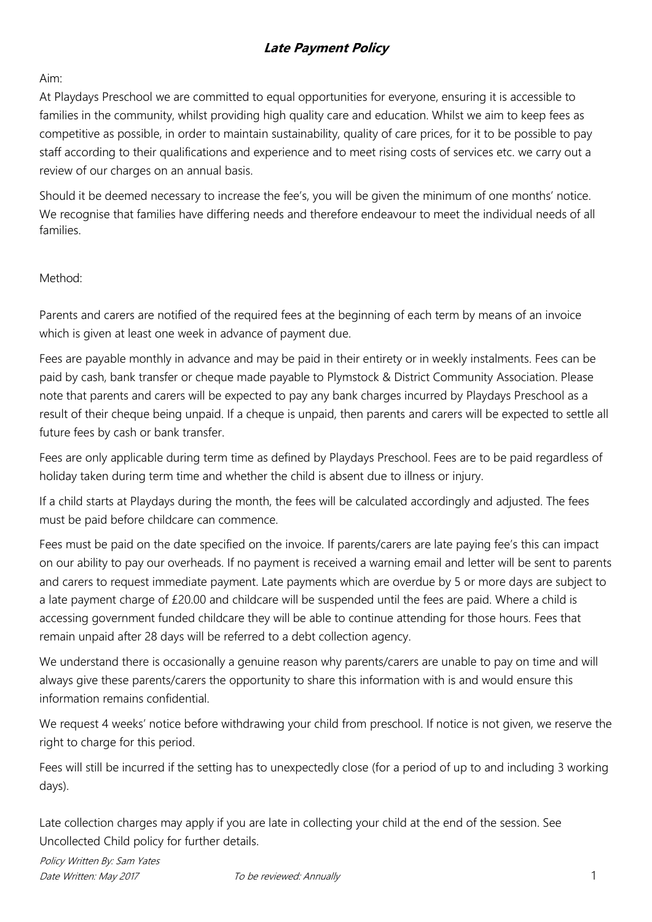#### Aim:

At Playdays Preschool we are committed to equal opportunities for everyone, ensuring it is accessible to families in the community, whilst providing high quality care and education. Whilst we aim to keep fees as competitive as possible, in order to maintain sustainability, quality of care prices, for it to be possible to pay staff according to their qualifications and experience and to meet rising costs of services etc. we carry out a review of our charges on an annual basis.

Should it be deemed necessary to increase the fee's, you will be given the minimum of one months' notice. We recognise that families have differing needs and therefore endeavour to meet the individual needs of all families.

#### Method:

Parents and carers are notified of the required fees at the beginning of each term by means of an invoice which is given at least one week in advance of payment due.

Fees are payable monthly in advance and may be paid in their entirety or in weekly instalments. Fees can be paid by cash, bank transfer or cheque made payable to Plymstock & District Community Association. Please note that parents and carers will be expected to pay any bank charges incurred by Playdays Preschool as a result of their cheque being unpaid. If a cheque is unpaid, then parents and carers will be expected to settle all future fees by cash or bank transfer.

Fees are only applicable during term time as defined by Playdays Preschool. Fees are to be paid regardless of holiday taken during term time and whether the child is absent due to illness or injury.

If a child starts at Playdays during the month, the fees will be calculated accordingly and adjusted. The fees must be paid before childcare can commence.

Fees must be paid on the date specified on the invoice. If parents/carers are late paying fee's this can impact on our ability to pay our overheads. If no payment is received a warning email and letter will be sent to parents and carers to request immediate payment. Late payments which are overdue by 5 or more days are subject to a late payment charge of £20.00 and childcare will be suspended until the fees are paid. Where a child is accessing government funded childcare they will be able to continue attending for those hours. Fees that remain unpaid after 28 days will be referred to a debt collection agency.

We understand there is occasionally a genuine reason why parents/carers are unable to pay on time and will always give these parents/carers the opportunity to share this information with is and would ensure this information remains confidential.

We request 4 weeks' notice before withdrawing your child from preschool. If notice is not given, we reserve the right to charge for this period.

Fees will still be incurred if the setting has to unexpectedly close (for a period of up to and including 3 working days).

Late collection charges may apply if you are late in collecting your child at the end of the session. See Uncollected Child policy for further details.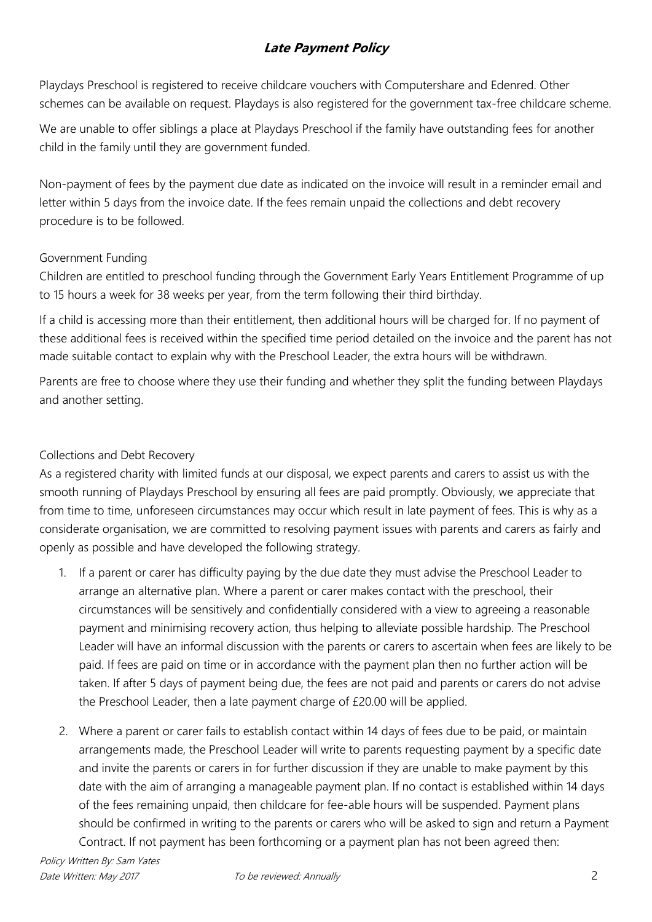Playdays Preschool is registered to receive childcare vouchers with Computershare and Edenred. Other schemes can be available on request. Playdays is also registered for the government tax-free childcare scheme.

We are unable to offer siblings a place at Playdays Preschool if the family have outstanding fees for another child in the family until they are government funded.

Non-payment of fees by the payment due date as indicated on the invoice will result in a reminder email and letter within 5 days from the invoice date. If the fees remain unpaid the collections and debt recovery procedure is to be followed.

### Government Funding

Children are entitled to preschool funding through the Government Early Years Entitlement Programme of up to 15 hours a week for 38 weeks per year, from the term following their third birthday.

If a child is accessing more than their entitlement, then additional hours will be charged for. If no payment of these additional fees is received within the specified time period detailed on the invoice and the parent has not made suitable contact to explain why with the Preschool Leader, the extra hours will be withdrawn.

Parents are free to choose where they use their funding and whether they split the funding between Playdays and another setting.

### Collections and Debt Recovery

As a registered charity with limited funds at our disposal, we expect parents and carers to assist us with the smooth running of Playdays Preschool by ensuring all fees are paid promptly. Obviously, we appreciate that from time to time, unforeseen circumstances may occur which result in late payment of fees. This is why as a considerate organisation, we are committed to resolving payment issues with parents and carers as fairly and openly as possible and have developed the following strategy.

- 1. If a parent or carer has difficulty paying by the due date they must advise the Preschool Leader to arrange an alternative plan. Where a parent or carer makes contact with the preschool, their circumstances will be sensitively and confidentially considered with a view to agreeing a reasonable payment and minimising recovery action, thus helping to alleviate possible hardship. The Preschool Leader will have an informal discussion with the parents or carers to ascertain when fees are likely to be paid. If fees are paid on time or in accordance with the payment plan then no further action will be taken. If after 5 days of payment being due, the fees are not paid and parents or carers do not advise the Preschool Leader, then a late payment charge of £20.00 will be applied.
- 2. Where a parent or carer fails to establish contact within 14 days of fees due to be paid, or maintain arrangements made, the Preschool Leader will write to parents requesting payment by a specific date and invite the parents or carers in for further discussion if they are unable to make payment by this date with the aim of arranging a manageable payment plan. If no contact is established within 14 days of the fees remaining unpaid, then childcare for fee-able hours will be suspended. Payment plans should be confirmed in writing to the parents or carers who will be asked to sign and return a Payment Contract. If not payment has been forthcoming or a payment plan has not been agreed then: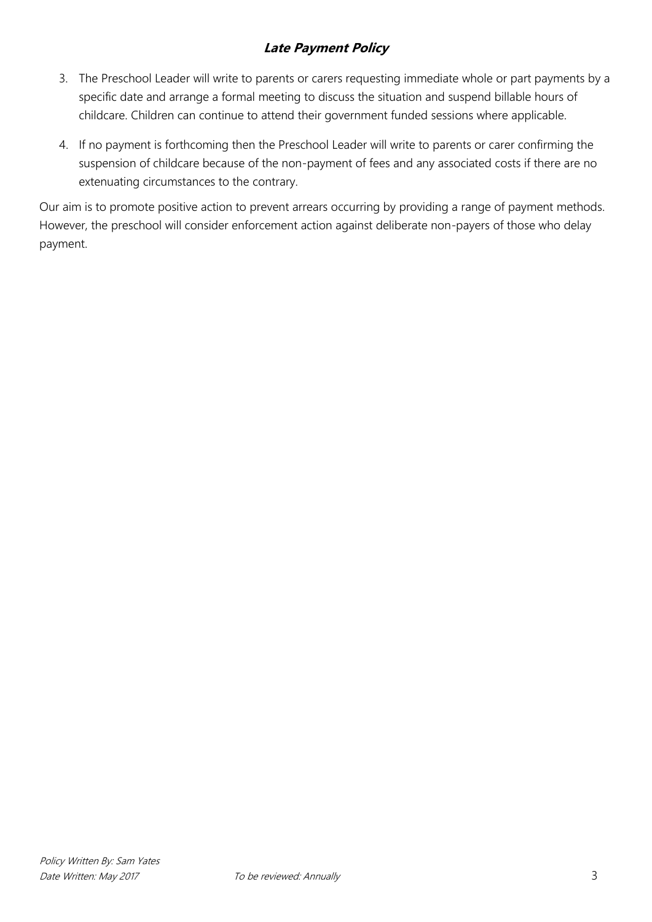- 3. The Preschool Leader will write to parents or carers requesting immediate whole or part payments by a specific date and arrange a formal meeting to discuss the situation and suspend billable hours of childcare. Children can continue to attend their government funded sessions where applicable.
- 4. If no payment is forthcoming then the Preschool Leader will write to parents or carer confirming the suspension of childcare because of the non-payment of fees and any associated costs if there are no extenuating circumstances to the contrary.

Our aim is to promote positive action to prevent arrears occurring by providing a range of payment methods. However, the preschool will consider enforcement action against deliberate non-payers of those who delay payment.